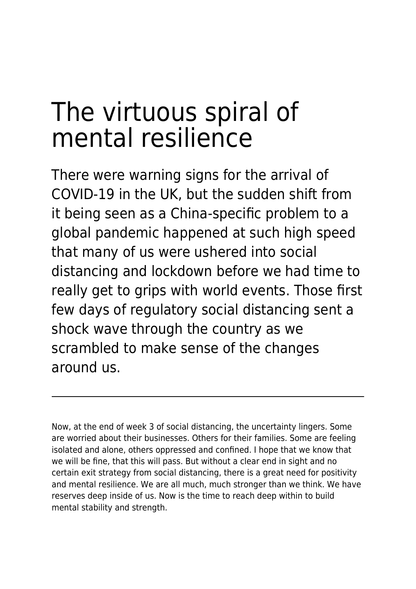# The virtuous spiral of mental resilience

There were warning signs for the arrival of COVID-19 in the UK, but the sudden shift from it being seen as a China-specific problem to a global pandemic happened at such high speed that many of us were ushered into social distancing and lockdown before we had time to really get to grips with world events. Those first few days of regulatory social distancing sent a shock wave through the country as we scrambled to make sense of the changes around us.

Now, at the end of week 3 of social distancing, the uncertainty lingers. Some are worried about their businesses. Others for their families. Some are feeling isolated and alone, others oppressed and confined. I hope that we know that we will be fine, that this will pass. But without a clear end in sight and no certain exit strategy from social distancing, there is a great need for positivity and mental resilience. We are all much, much stronger than we think. We have reserves deep inside of us. Now is the time to reach deep within to build mental stability and strength.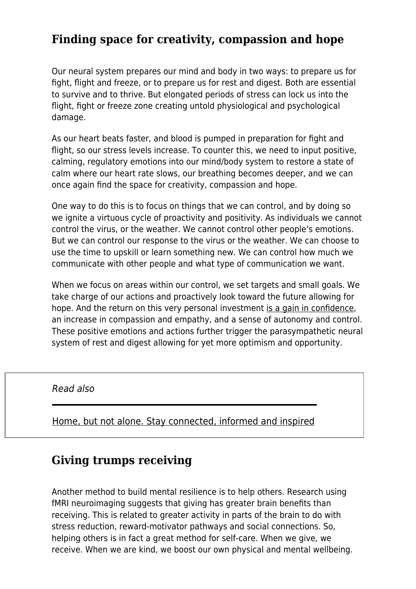## **Finding space for creativity, compassion and hope**

Our neural system prepares our mind and body in two ways: to prepare us for fight, flight and freeze, or to prepare us for rest and digest. Both are essential to survive and to thrive. But elongated periods of stress can lock us into the flight, fight or freeze zone creating untold physiological and psychological damage.

As our heart beats faster, and blood is pumped in preparation for fight and flight, so our stress levels increase. To counter this, we need to input positive, calming, regulatory emotions into our mind/body system to restore a state of calm where our heart rate slows, our breathing becomes deeper, and we can once again find the space for creativity, compassion and hope.

One way to do this is to focus on things that we can control, and by doing so we ignite a virtuous cycle of proactivity and positivity. As individuals we cannot control the virus, or the weather. We cannot control other people's emotions. But we can control our response to the virus or the weather. We can choose to use the time to upskill or learn something new. We can control how much we communicate with other people and what type of communication we want.

When we focus on areas within our control, we set targets and small goals. We take charge of our actions and proactively look toward the future allowing for hope. And the return on this very personal investment [is a gain in confidence](https://www.maddyness.com/uk/2020/02/18/what-is-self-confidence/), an increase in compassion and empathy, and a sense of autonomy and control. These positive emotions and actions further trigger the parasympathetic neural system of rest and digest allowing for yet more optimism and opportunity.

#### Read also

[Home, but not alone. Stay connected, informed and inspired](https://www.maddyness.com/uk/2020/04/29/webinars-to-attend-while-working-from-home/)

### **Giving trumps receiving**

Another method to build mental resilience is to help others. Research using fMRI neuroimaging suggests that giving has greater brain benefits than receiving. This is related to greater activity in parts of the brain to do with stress reduction, reward-motivator pathways and social connections. So, helping others is in fact a great method for self-care. When we give, we receive. When we are kind, we boost our own physical and mental wellbeing.